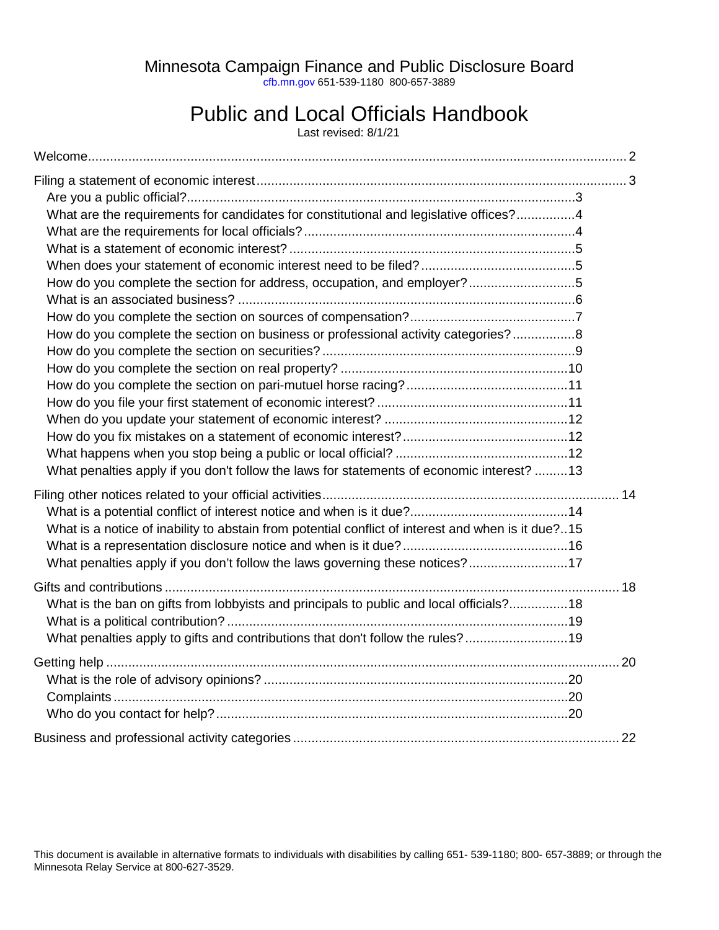Minnesota Campaign Finance and Public Disclosure Board

[cfb.mn.gov](https://cfb.mn.gov/) 651-539-1180 800-657-3889

# Public and Local Officials Handbook

Last revised: 8/1/21

| What are the requirements for candidates for constitutional and legislative offices?4              |  |
|----------------------------------------------------------------------------------------------------|--|
|                                                                                                    |  |
|                                                                                                    |  |
|                                                                                                    |  |
| How do you complete the section for address, occupation, and employer?5                            |  |
|                                                                                                    |  |
|                                                                                                    |  |
| How do you complete the section on business or professional activity categories?8                  |  |
|                                                                                                    |  |
|                                                                                                    |  |
|                                                                                                    |  |
|                                                                                                    |  |
|                                                                                                    |  |
|                                                                                                    |  |
|                                                                                                    |  |
| What penalties apply if you don't follow the laws for statements of economic interest? 13          |  |
|                                                                                                    |  |
|                                                                                                    |  |
| What is a notice of inability to abstain from potential conflict of interest and when is it due?15 |  |
|                                                                                                    |  |
| What penalties apply if you don't follow the laws governing these notices?17                       |  |
|                                                                                                    |  |
| What is the ban on gifts from lobbyists and principals to public and local officials?18            |  |
|                                                                                                    |  |
| What penalties apply to gifts and contributions that don't follow the rules?19                     |  |
|                                                                                                    |  |
|                                                                                                    |  |
|                                                                                                    |  |
|                                                                                                    |  |
|                                                                                                    |  |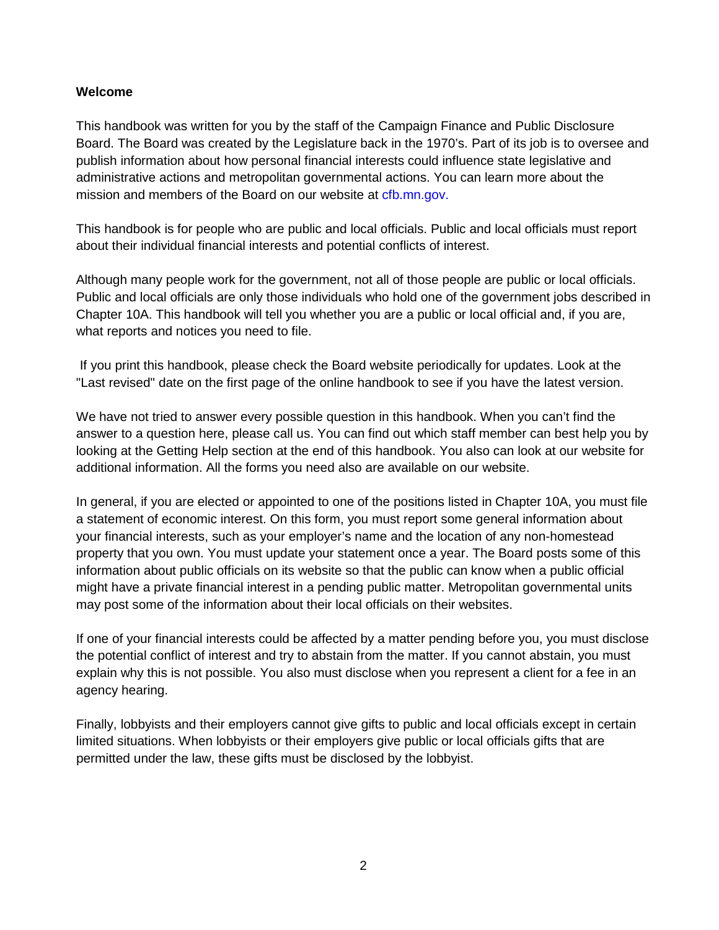#### <span id="page-1-0"></span>**Welcome**

This handbook was written for you by the staff of the Campaign Finance and Public Disclosure Board. The Board was created by the Legislature back in the 1970's. Part of its job is to oversee and publish information about how personal financial interests could influence state legislative and administrative actions and metropolitan governmental actions. You can learn more about the mission and members of the Board on our website at [cfb.mn.gov.](https://cfb.mn.gov/)

This handbook is for people who are public and local officials. Public and local officials must report about their individual financial interests and potential conflicts of interest.

Although many people work for the government, not all of those people are public or local officials. Public and local officials are only those individuals who hold one of the government jobs described in Chapter 10A. This handbook will tell you whether you are a public or local official and, if you are, what reports and notices you need to file.

If you print this handbook, please check the Board website periodically for updates. Look at the "Last revised" date on the first page of the online handbook to see if you have the latest version.

We have not tried to answer every possible question in this handbook. When you can't find the answer to a question here, please call us. You can find out which staff member can best help you by looking at the Getting Help section at the end of this handbook. You also can look at our website for additional information. All the forms you need also are available on our website.

In general, if you are elected or appointed to one of the positions listed in Chapter 10A, you must file a statement of economic interest. On this form, you must report some general information about your financial interests, such as your employer's name and the location of any non-homestead property that you own. You must update your statement once a year. The Board posts some of this information about public officials on its website so that the public can know when a public official might have a private financial interest in a pending public matter. Metropolitan governmental units may post some of the information about their local officials on their websites.

If one of your financial interests could be affected by a matter pending before you, you must disclose the potential conflict of interest and try to abstain from the matter. If you cannot abstain, you must explain why this is not possible. You also must disclose when you represent a client for a fee in an agency hearing.

Finally, lobbyists and their employers cannot give gifts to public and local officials except in certain limited situations. When lobbyists or their employers give public or local officials gifts that are permitted under the law, these gifts must be disclosed by the lobbyist.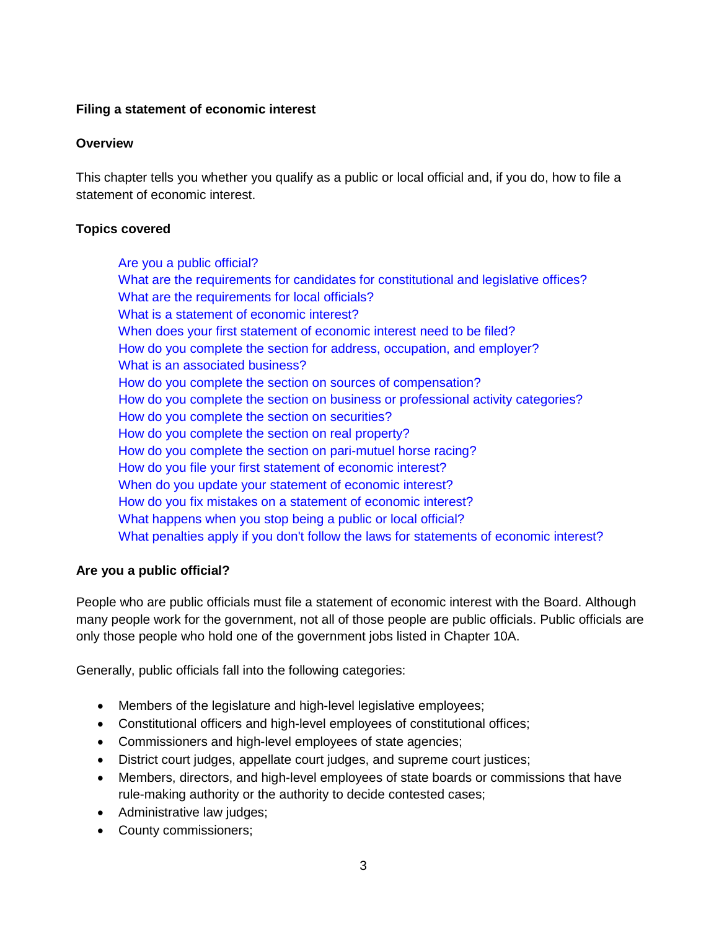#### <span id="page-2-0"></span>**Filing a statement of economic interest**

#### **Overview**

This chapter tells you whether you qualify as a public or local official and, if you do, how to file a statement of economic interest.

#### **Topics covered**

[Are you a public official?](#page-2-1) [What are the requirements for candidates for constitutional and legislative offices?](#page-3-0) [What are the requirements for local officials?](#page-3-1) [What is a statement](#page-4-0) of economic interest? [When does your first statement](#page-4-1) of economic interest need to be filed? [How do you complete the section for address, occupation,](#page-4-2) and employer? [What is an associated business?](#page-5-0) [How do you complete the section on sources of compensation?](#page-6-0) [How do you complete the section on business or professional activity](#page-7-0) categories? [How do you complete the section on securities?](#page-7-1) How do you [complete the section on real property?](#page-9-0) [How do you complete the section on pari-mutuel horse racing?](#page-10-0) [How do you file your first statement](#page-10-1) of economic interest? [When do you update your statement](#page-10-2) of economic interest? [How do you fix mistakes on a statement](#page-11-0) of economic interest? [What happens when you stop being a public or local official?](#page-11-1) [What penalties apply if you don't follow the laws for statements of economic interest?](#page-12-0)

#### <span id="page-2-1"></span>**Are you a public official?**

People who are public officials must file a statement of economic interest with the Board. Although many people work for the government, not all of those people are public officials. Public officials are only those people who hold one of the government jobs listed in Chapter 10A.

Generally, public officials fall into the following categories:

- Members of the legislature and high-level legislative employees;
- Constitutional officers and high-level employees of constitutional offices;
- Commissioners and high-level employees of state agencies;
- District court judges, appellate court judges, and supreme court justices;
- Members, directors, and high-level employees of state boards or commissions that have rule-making authority or the authority to decide contested cases;
- Administrative law judges;
- County commissioners;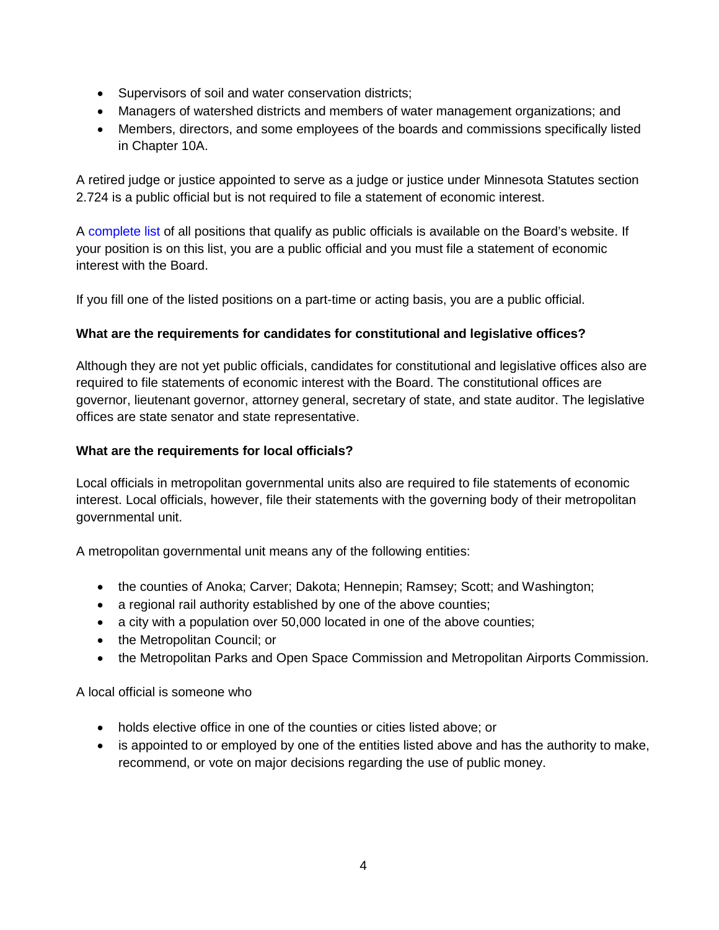- Supervisors of soil and water conservation districts;
- Managers of watershed districts and members of water management organizations; and
- Members, directors, and some employees of the boards and commissions specifically listed in Chapter 10A.

A retired judge or justice appointed to serve as a judge or justice under Minnesota Statutes section 2.724 is a public official but is not required to file a statement of economic interest.

A [complete list](https://cfb.mn.gov/pdf/quicklinks/list_of_public_official_positions.pdf) of all positions that qualify as public officials is available on the Board's website. If your position is on this list, you are a public official and you must file a statement of economic interest with the Board.

If you fill one of the listed positions on a part-time or acting basis, you are a public official.

# <span id="page-3-0"></span>**What are the requirements for candidates for constitutional and legislative offices?**

Although they are not yet public officials, candidates for constitutional and legislative offices also are required to file statements of economic interest with the Board. The constitutional offices are governor, lieutenant governor, attorney general, secretary of state, and state auditor. The legislative offices are state senator and state representative.

### <span id="page-3-1"></span>**What are the requirements for local officials?**

Local officials in metropolitan governmental units also are required to file statements of economic interest. Local officials, however, file their statements with the governing body of their metropolitan governmental unit.

A metropolitan governmental unit means any of the following entities:

- the counties of Anoka; Carver; Dakota; Hennepin; Ramsey; Scott; and Washington;
- a regional rail authority established by one of the above counties;
- a city with a population over 50,000 located in one of the above counties;
- the Metropolitan Council; or
- the Metropolitan Parks and Open Space Commission and Metropolitan Airports Commission.

A local official is someone who

- holds elective office in one of the counties or cities listed above; or
- is appointed to or employed by one of the entities listed above and has the authority to make, recommend, or vote on major decisions regarding the use of public money.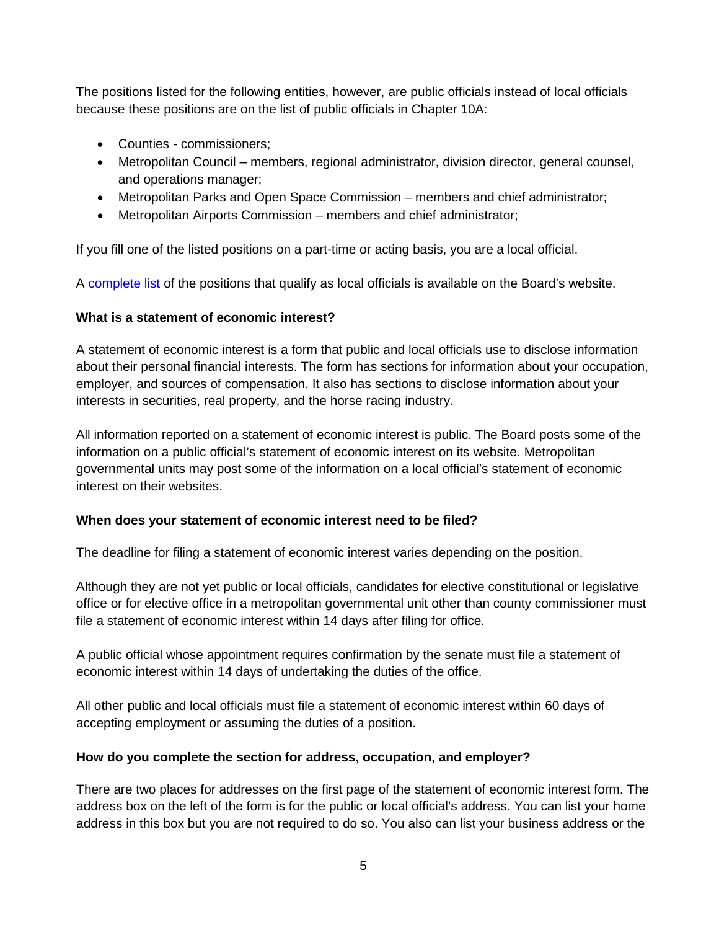The positions listed for the following entities, however, are public officials instead of local officials because these positions are on the list of public officials in Chapter 10A:

- Counties commissioners;
- Metropolitan Council members, regional administrator, division director, general counsel, and operations manager;
- Metropolitan Parks and Open Space Commission members and chief administrator;
- Metropolitan Airports Commission members and chief administrator;

If you fill one of the listed positions on a part-time or acting basis, you are a local official.

A [complete list](https://cfb.mn.gov/pdf/quicklinks/list_of_local_official_positions.pdf?t=1504295326) of the positions that qualify as local officials is available on the Board's website.

# <span id="page-4-0"></span>**What is a statement of economic interest?**

A statement of economic interest is a form that public and local officials use to disclose information about their personal financial interests. The form has sections for information about your occupation, employer, and sources of compensation. It also has sections to disclose information about your interests in securities, real property, and the horse racing industry.

All information reported on a statement of economic interest is public. The Board posts some of the information on a public official's statement of economic interest on its website. Metropolitan governmental units may post some of the information on a local official's statement of economic interest on their websites.

# <span id="page-4-1"></span>**When does your statement of economic interest need to be filed?**

The deadline for filing a statement of economic interest varies depending on the position.

Although they are not yet public or local officials, candidates for elective constitutional or legislative office or for elective office in a metropolitan governmental unit other than county commissioner must file a statement of economic interest within 14 days after filing for office.

A public official whose appointment requires confirmation by the senate must file a statement of economic interest within 14 days of undertaking the duties of the office.

All other public and local officials must file a statement of economic interest within 60 days of accepting employment or assuming the duties of a position.

# <span id="page-4-2"></span>**How do you complete the section for address, occupation, and employer?**

There are two places for addresses on the first page of the statement of economic interest form. The address box on the left of the form is for the public or local official's address. You can list your home address in this box but you are not required to do so. You also can list your business address or the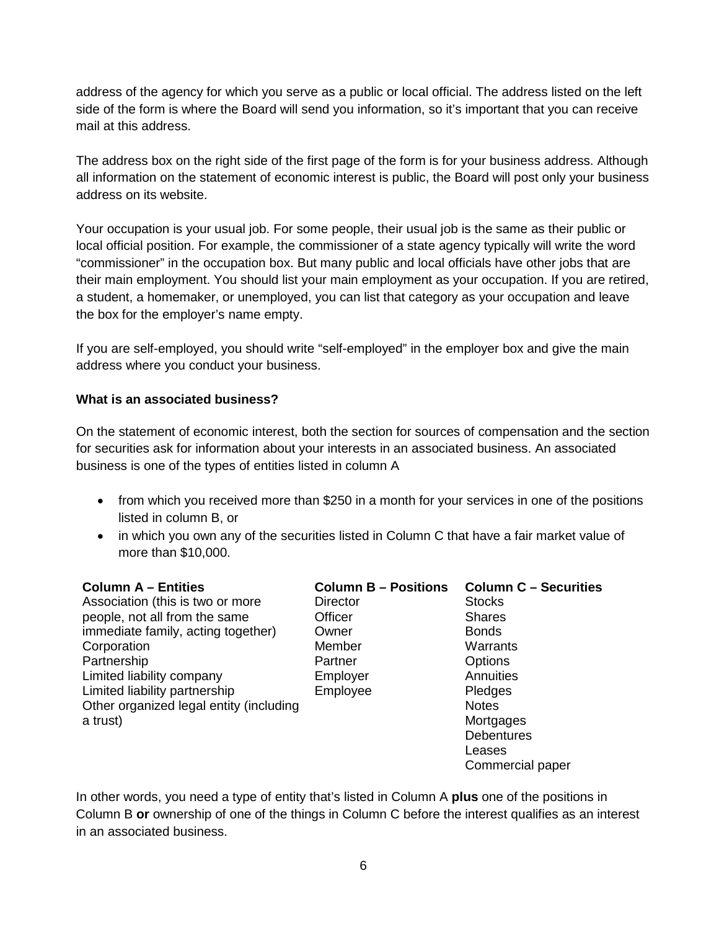address of the agency for which you serve as a public or local official. The address listed on the left side of the form is where the Board will send you information, so it's important that you can receive mail at this address.

The address box on the right side of the first page of the form is for your business address. Although all information on the statement of economic interest is public, the Board will post only your business address on its website.

Your occupation is your usual job. For some people, their usual job is the same as their public or local official position. For example, the commissioner of a state agency typically will write the word "commissioner" in the occupation box. But many public and local officials have other jobs that are their main employment. You should list your main employment as your occupation. If you are retired, a student, a homemaker, or unemployed, you can list that category as your occupation and leave the box for the employer's name empty.

If you are self-employed, you should write "self-employed" in the employer box and give the main address where you conduct your business.

### <span id="page-5-0"></span>**What is an associated business?**

On the statement of economic interest, both the section for sources of compensation and the section for securities ask for information about your interests in an associated business. An associated business is one of the types of entities listed in column A

- from which you received more than \$250 in a month for your services in one of the positions listed in column B, or
- in which you own any of the securities listed in Column C that have a fair market value of more than \$10,000.

| <b>Column A - Entities</b>              | <b>Column B - Positions</b> | <b>Column C - Securities</b> |
|-----------------------------------------|-----------------------------|------------------------------|
| Association (this is two or more        | <b>Director</b>             | <b>Stocks</b>                |
| people, not all from the same           | Officer                     | <b>Shares</b>                |
| immediate family, acting together)      | Owner                       | <b>Bonds</b>                 |
| Corporation                             | Member                      | Warrants                     |
| Partnership                             | Partner                     | Options                      |
| Limited liability company               | Employer                    | Annuities                    |
| Limited liability partnership           | Employee                    | Pledges                      |
| Other organized legal entity (including |                             | <b>Notes</b>                 |
| a trust)                                |                             | Mortgages                    |
|                                         |                             | <b>Debentures</b>            |
|                                         |                             | Leases                       |
|                                         |                             | Commercial paper             |

In other words, you need a type of entity that's listed in Column A **plus** one of the positions in Column B **or** ownership of one of the things in Column C before the interest qualifies as an interest in an associated business.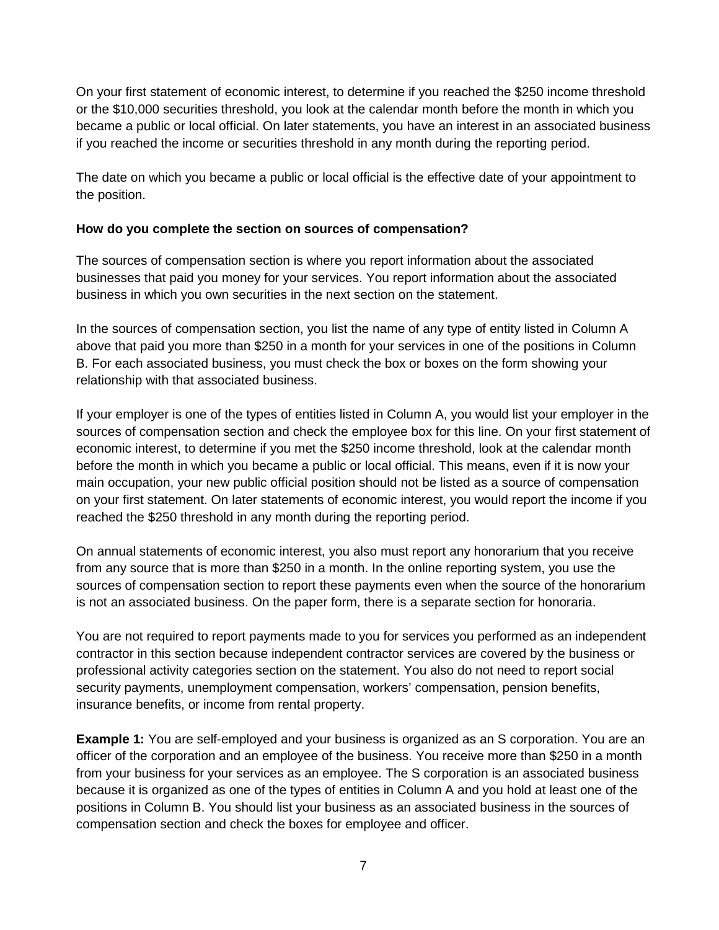On your first statement of economic interest, to determine if you reached the \$250 income threshold or the \$10,000 securities threshold, you look at the calendar month before the month in which you became a public or local official. On later statements, you have an interest in an associated business if you reached the income or securities threshold in any month during the reporting period.

The date on which you became a public or local official is the effective date of your appointment to the position.

### <span id="page-6-0"></span>**How do you complete the section on sources of compensation?**

The sources of compensation section is where you report information about the associated businesses that paid you money for your services. You report information about the associated business in which you own securities in the next section on the statement.

In the sources of compensation section, you list the name of any type of entity listed in Column A above that paid you more than \$250 in a month for your services in one of the positions in Column B. For each associated business, you must check the box or boxes on the form showing your relationship with that associated business.

If your employer is one of the types of entities listed in Column A, you would list your employer in the sources of compensation section and check the employee box for this line. On your first statement of economic interest, to determine if you met the \$250 income threshold, look at the calendar month before the month in which you became a public or local official. This means, even if it is now your main occupation, your new public official position should not be listed as a source of compensation on your first statement. On later statements of economic interest, you would report the income if you reached the \$250 threshold in any month during the reporting period.

On annual statements of economic interest, you also must report any honorarium that you receive from any source that is more than \$250 in a month. In the online reporting system, you use the sources of compensation section to report these payments even when the source of the honorarium is not an associated business. On the paper form, there is a separate section for honoraria.

You are not required to report payments made to you for services you performed as an independent contractor in this section because independent contractor services are covered by the business or professional activity categories section on the statement. You also do not need to report social security payments, unemployment compensation, workers' compensation, pension benefits, insurance benefits, or income from rental property.

**Example 1:** You are self-employed and your business is organized as an S corporation. You are an officer of the corporation and an employee of the business. You receive more than \$250 in a month from your business for your services as an employee. The S corporation is an associated business because it is organized as one of the types of entities in Column A and you hold at least one of the positions in Column B. You should list your business as an associated business in the sources of compensation section and check the boxes for employee and officer.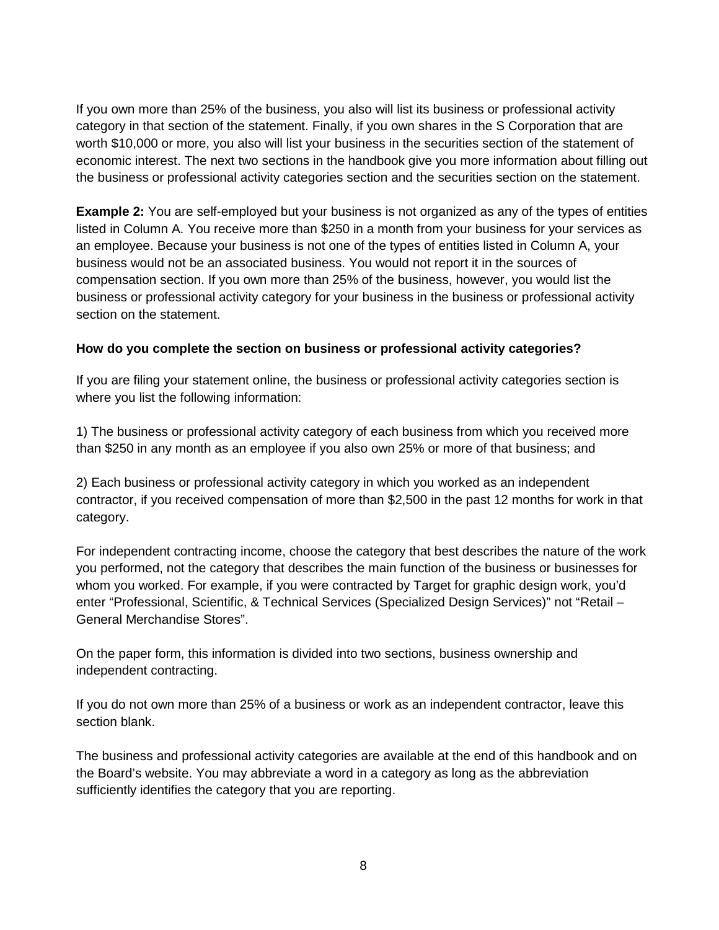If you own more than 25% of the business, you also will list its business or professional activity category in that section of the statement. Finally, if you own shares in the S Corporation that are worth \$10,000 or more, you also will list your business in the securities section of the statement of economic interest. The next two sections in the handbook give you more information about filling out the business or professional activity categories section and the securities section on the statement.

**Example 2:** You are self-employed but your business is not organized as any of the types of entities listed in Column A. You receive more than \$250 in a month from your business for your services as an employee. Because your business is not one of the types of entities listed in Column A, your business would not be an associated business. You would not report it in the sources of compensation section. If you own more than 25% of the business, however, you would list the business or professional activity category for your business in the business or professional activity section on the statement.

### <span id="page-7-0"></span>**How do you complete the section on business or professional activity categories?**

If you are filing your statement online, the business or professional activity categories section is where you list the following information:

1) The business or professional activity category of each business from which you received more than \$250 in any month as an employee if you also own 25% or more of that business; and

2) Each business or professional activity category in which you worked as an independent contractor, if you received compensation of more than \$2,500 in the past 12 months for work in that category.

For independent contracting income, choose the category that best describes the nature of the work you performed, not the category that describes the main function of the business or businesses for whom you worked. For example, if you were contracted by Target for graphic design work, you'd enter "Professional, Scientific, & Technical Services (Specialized Design Services)" not "Retail – General Merchandise Stores".

On the paper form, this information is divided into two sections, business ownership and independent contracting.

If you do not own more than 25% of a business or work as an independent contractor, leave this section blank.

<span id="page-7-1"></span>The business and professional activity categories are available at the end of this handbook and on the Board's website. You may abbreviate a word in a category as long as the abbreviation sufficiently identifies the category that you are reporting.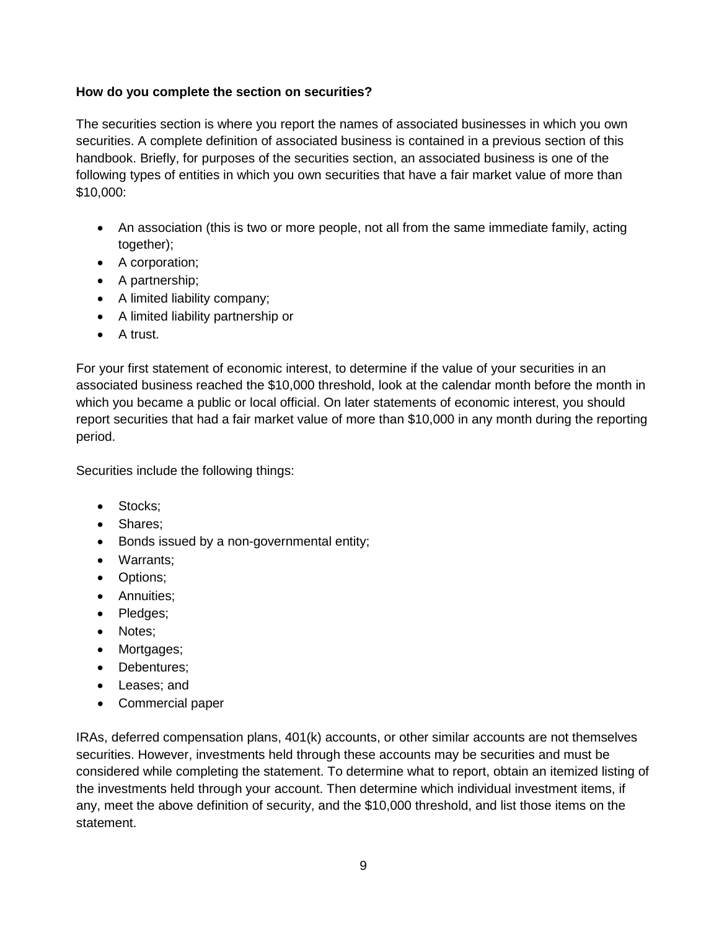### **How do you complete the section on securities?**

The securities section is where you report the names of associated businesses in which you own securities. A complete definition of associated business is contained in a previous section of this handbook. Briefly, for purposes of the securities section, an associated business is one of the following types of entities in which you own securities that have a fair market value of more than \$10,000:

- An association (this is two or more people, not all from the same immediate family, acting together);
- A corporation;
- A partnership;
- A limited liability company;
- A limited liability partnership or
- A trust.

For your first statement of economic interest, to determine if the value of your securities in an associated business reached the \$10,000 threshold, look at the calendar month before the month in which you became a public or local official. On later statements of economic interest, you should report securities that had a fair market value of more than \$10,000 in any month during the reporting period.

Securities include the following things:

- Stocks:
- Shares;
- Bonds issued by a non-governmental entity;
- Warrants;
- Options;
- Annuities;
- Pledges;
- Notes;
- Mortgages;
- Debentures;
- Leases; and
- Commercial paper

IRAs, deferred compensation plans, 401(k) accounts, or other similar accounts are not themselves securities. However, investments held through these accounts may be securities and must be considered while completing the statement. To determine what to report, obtain an itemized listing of the investments held through your account. Then determine which individual investment items, if any, meet the above definition of security, and the \$10,000 threshold, and list those items on the statement.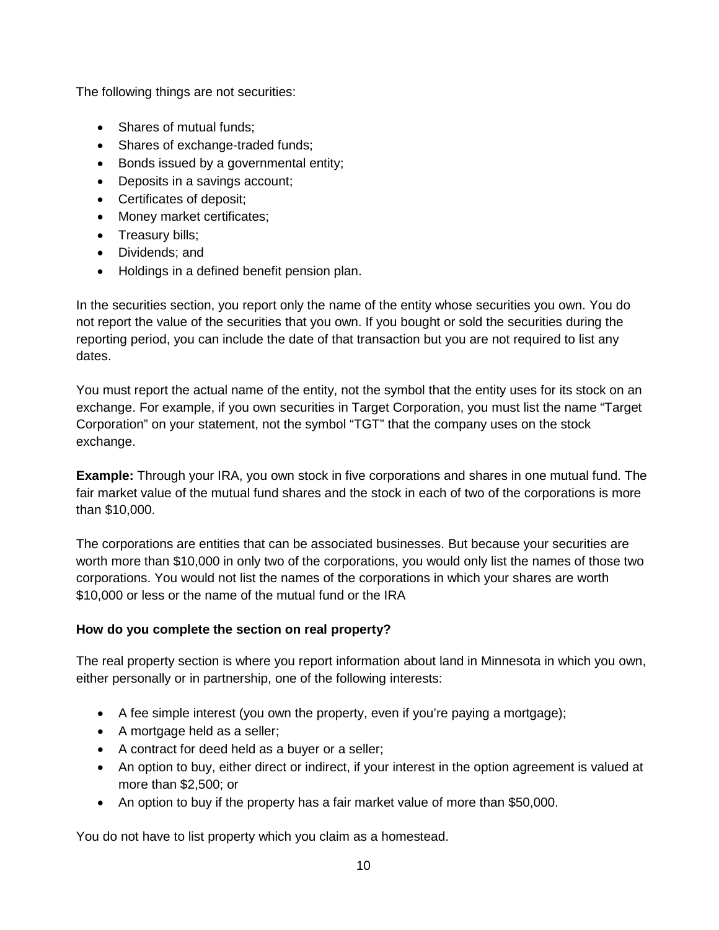The following things are not securities:

- Shares of mutual funds:
- Shares of exchange-traded funds;
- Bonds issued by a governmental entity;
- Deposits in a savings account;
- Certificates of deposit;
- Money market certificates;
- Treasury bills;
- Dividends; and
- Holdings in a defined benefit pension plan.

In the securities section, you report only the name of the entity whose securities you own. You do not report the value of the securities that you own. If you bought or sold the securities during the reporting period, you can include the date of that transaction but you are not required to list any dates.

You must report the actual name of the entity, not the symbol that the entity uses for its stock on an exchange. For example, if you own securities in Target Corporation, you must list the name "Target Corporation" on your statement, not the symbol "TGT" that the company uses on the stock exchange.

**Example:** Through your IRA, you own stock in five corporations and shares in one mutual fund. The fair market value of the mutual fund shares and the stock in each of two of the corporations is more than \$10,000.

The corporations are entities that can be associated businesses. But because your securities are worth more than \$10,000 in only two of the corporations, you would only list the names of those two corporations. You would not list the names of the corporations in which your shares are worth \$10,000 or less or the name of the mutual fund or the IRA

# <span id="page-9-0"></span>**How do you complete the section on real property?**

The real property section is where you report information about land in Minnesota in which you own, either personally or in partnership, one of the following interests:

- A fee simple interest (you own the property, even if you're paying a mortgage);
- A mortgage held as a seller;
- A contract for deed held as a buyer or a seller;
- An option to buy, either direct or indirect, if your interest in the option agreement is valued at more than \$2,500; or
- An option to buy if the property has a fair market value of more than \$50,000.

You do not have to list property which you claim as a homestead.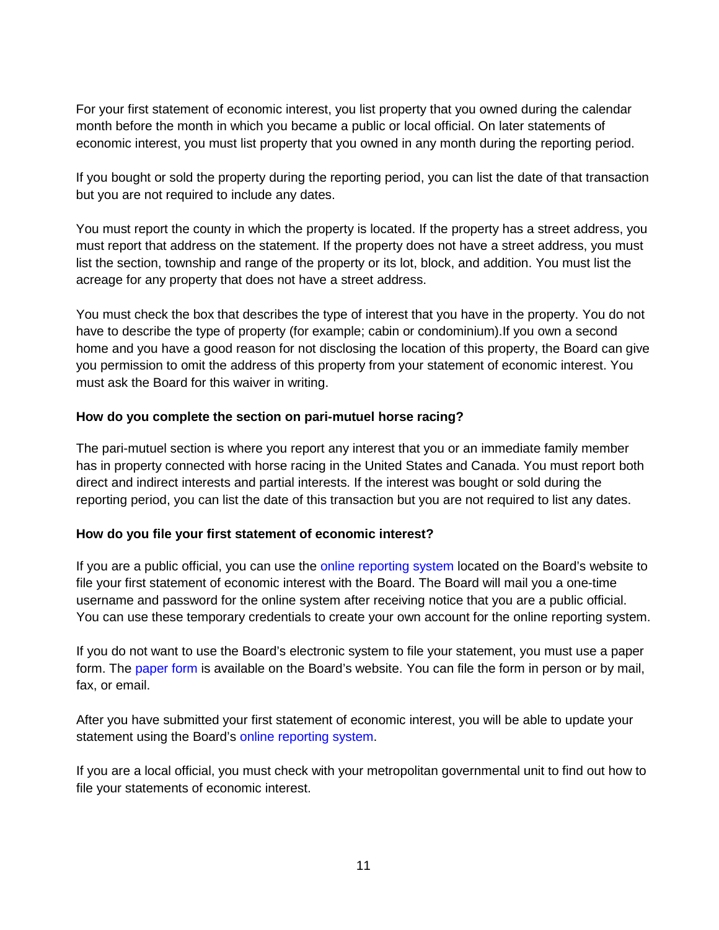For your first statement of economic interest, you list property that you owned during the calendar month before the month in which you became a public or local official. On later statements of economic interest, you must list property that you owned in any month during the reporting period.

If you bought or sold the property during the reporting period, you can list the date of that transaction but you are not required to include any dates.

You must report the county in which the property is located. If the property has a street address, you must report that address on the statement. If the property does not have a street address, you must list the section, township and range of the property or its lot, block, and addition. You must list the acreage for any property that does not have a street address.

You must check the box that describes the type of interest that you have in the property. You do not have to describe the type of property (for example; cabin or condominium).If you own a second home and you have a good reason for not disclosing the location of this property, the Board can give you permission to omit the address of this property from your statement of economic interest. You must ask the Board for this waiver in writing.

### <span id="page-10-0"></span>**How do you complete the section on pari-mutuel horse racing?**

The pari-mutuel section is where you report any interest that you or an immediate family member has in property connected with horse racing in the United States and Canada. You must report both direct and indirect interests and partial interests. If the interest was bought or sold during the reporting period, you can list the date of this transaction but you are not required to list any dates.

# <span id="page-10-1"></span>**How do you file your first statement of economic interest?**

If you are a public official, you can use the [online reporting system](https://eis.cfb.mn.gov/reporting/) located on the Board's website to file your first statement of economic interest with the Board. The Board will mail you a one-time username and password for the online system after receiving notice that you are a public official. You can use these temporary credentials to create your own account for the online reporting system.

If you do not want to use the Board's electronic system to file your statement, you must use a paper form. The [paper form](https://cfb.mn.gov/reports/#/public_officials_disclosures/) is available on the Board's website. You can file the form in person or by mail, fax, or email.

After you have submitted your first statement of economic interest, you will be able to update your statement using the Board's online [reporting system.](https://eis.cfb.mn.gov/reporting/)

<span id="page-10-2"></span>If you are a local official, you must check with your metropolitan governmental unit to find out how to file your statements of economic interest.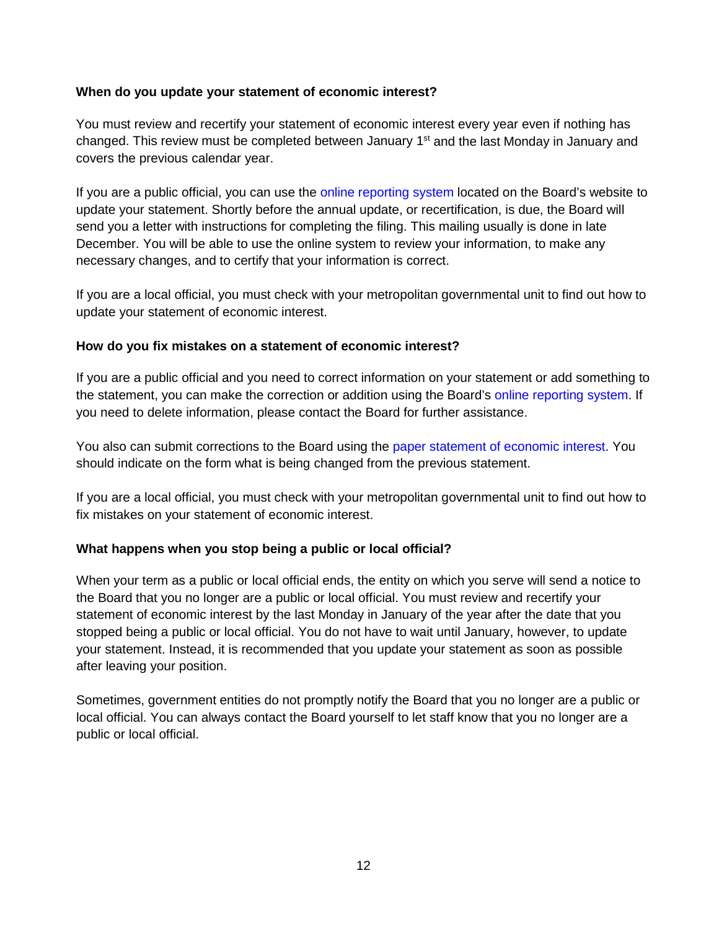#### **When do you update your statement of economic interest?**

You must review and recertify your statement of economic interest every year even if nothing has changed. This review must be completed between January 1<sup>st</sup> and the last Monday in January and covers the previous calendar year.

If you are a public official, you can use the [online reporting system](https://eis.cfb.mn.gov/reporting/) located on the Board's website to update your statement. Shortly before the annual update, or recertification, is due, the Board will send you a letter with instructions for completing the filing. This mailing usually is done in late December. You will be able to use the online system to review your information, to make any necessary changes, and to certify that your information is correct.

If you are a local official, you must check with your metropolitan governmental unit to find out how to update your statement of economic interest.

### <span id="page-11-0"></span>**How do you fix mistakes on a statement of economic interest?**

If you are a public official and you need to correct information on your statement or add something to the statement, you can make the correction or addition using the Board's online [reporting system.](https://eis.cfb.mn.gov/reporting/) If you need to delete information, please contact the Board for further assistance.

You also can submit corrections to the Board using the [paper statement](https://cfb.mn.gov/reports/#/public_officials_disclosures/) of economic interest. You should indicate on the form what is being changed from the previous statement.

If you are a local official, you must check with your metropolitan governmental unit to find out how to fix mistakes on your statement of economic interest.

# <span id="page-11-1"></span>**What happens when you stop being a public or local official?**

When your term as a public or local official ends, the entity on which you serve will send a notice to the Board that you no longer are a public or local official. You must review and recertify your statement of economic interest by the last Monday in January of the year after the date that you stopped being a public or local official. You do not have to wait until January, however, to update your statement. Instead, it is recommended that you update your statement as soon as possible after leaving your position.

Sometimes, government entities do not promptly notify the Board that you no longer are a public or local official. You can always contact the Board yourself to let staff know that you no longer are a public or local official.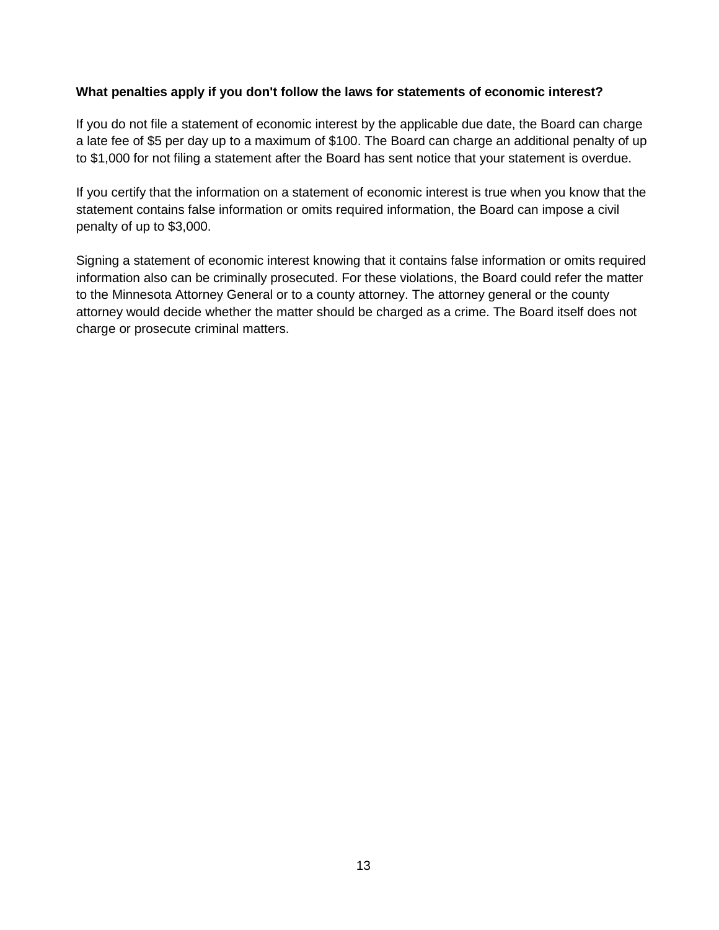#### <span id="page-12-0"></span>**What penalties apply if you don't follow the laws for statements of economic interest?**

If you do not file a statement of economic interest by the applicable due date, the Board can charge a late fee of \$5 per day up to a maximum of \$100. The Board can charge an additional penalty of up to \$1,000 for not filing a statement after the Board has sent notice that your statement is overdue.

If you certify that the information on a statement of economic interest is true when you know that the statement contains false information or omits required information, the Board can impose a civil penalty of up to \$3,000.

Signing a statement of economic interest knowing that it contains false information or omits required information also can be criminally prosecuted. For these violations, the Board could refer the matter to the Minnesota Attorney General or to a county attorney. The attorney general or the county attorney would decide whether the matter should be charged as a crime. The Board itself does not charge or prosecute criminal matters.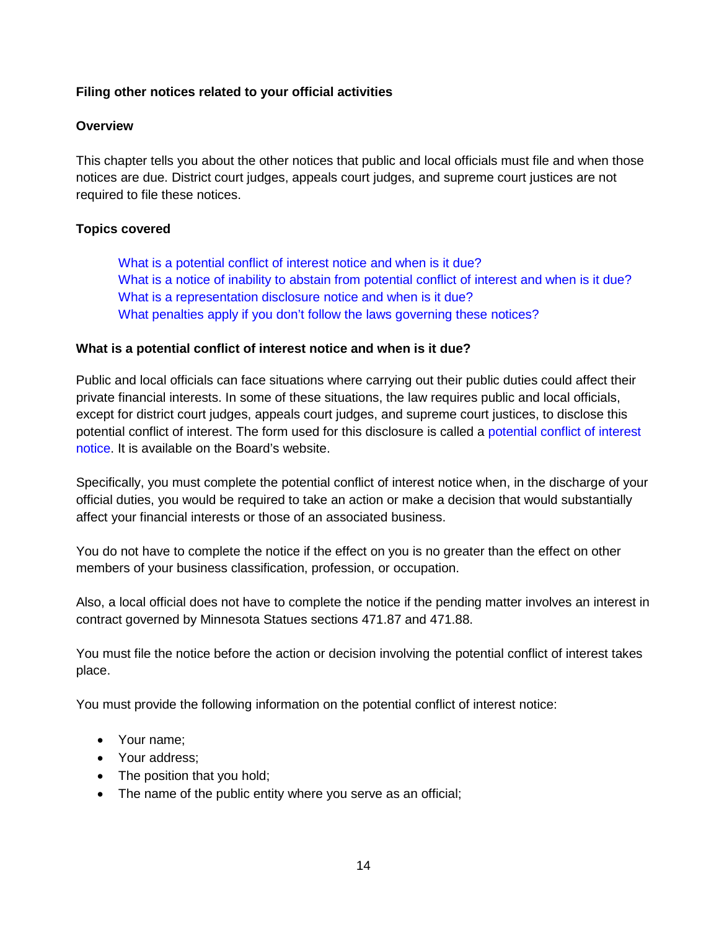# <span id="page-13-0"></span>**Filing other notices related to your official activities**

#### **Overview**

This chapter tells you about the other notices that public and local officials must file and when those notices are due. District court judges, appeals court judges, and supreme court justices are not required to file these notices.

### **Topics covered**

[What is a potential conflict of interest](#page-13-1) notice and when is it due? What is a [notice of inability to abstain from potential conflict of interest and when is it due?](#page-14-0) [What is a representation disclosure notice and when is it due?](#page-15-0) [What penalties apply if you don't follow the laws governing these notices?](#page-16-0)

#### <span id="page-13-1"></span>**What is a potential conflict of interest notice and when is it due?**

Public and local officials can face situations where carrying out their public duties could affect their private financial interests. In some of these situations, the law requires public and local officials, except for district court judges, appeals court judges, and supreme court justices, to disclose this potential conflict of interest. The form used for this disclosure is called a [potential conflict of interest](https://cfb.mn.gov/pdf/forms/public_officials/public_official_potential_conflict_of_interest_notice.pdf)  [notice.](https://cfb.mn.gov/pdf/forms/public_officials/public_official_potential_conflict_of_interest_notice.pdf) It is available on the Board's website.

Specifically, you must complete the potential conflict of interest notice when, in the discharge of your official duties, you would be required to take an action or make a decision that would substantially affect your financial interests or those of an associated business.

You do not have to complete the notice if the effect on you is no greater than the effect on other members of your business classification, profession, or occupation.

Also, a local official does not have to complete the notice if the pending matter involves an interest in contract governed by Minnesota Statues sections 471.87 and 471.88.

You must file the notice before the action or decision involving the potential conflict of interest takes place.

You must provide the following information on the potential conflict of interest notice:

- Your name;
- Your address;
- The position that you hold;
- The name of the public entity where you serve as an official;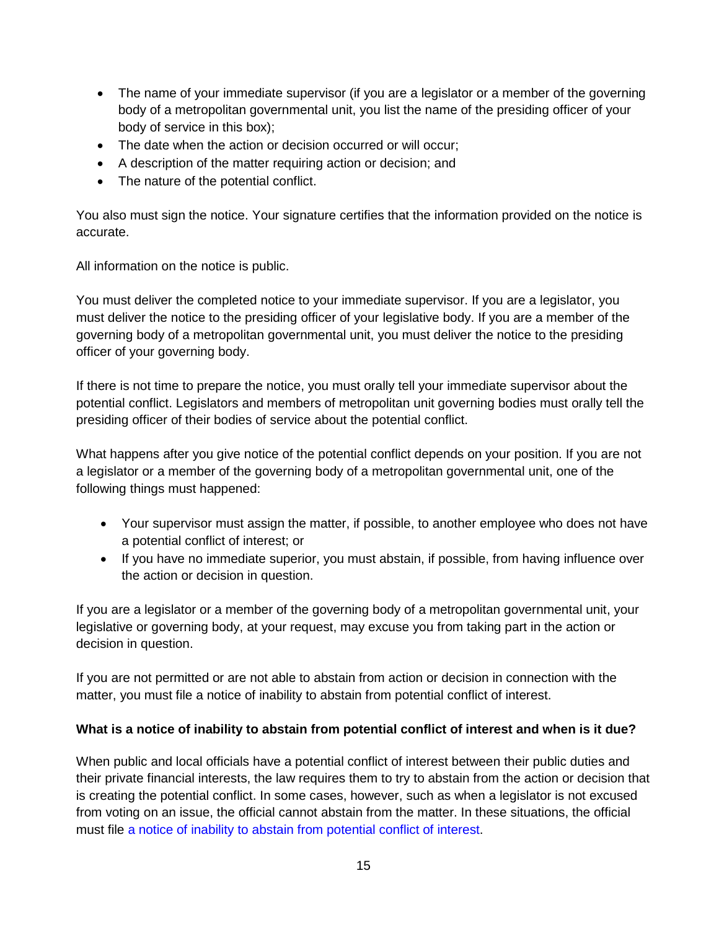- The name of your immediate supervisor (if you are a legislator or a member of the governing body of a metropolitan governmental unit, you list the name of the presiding officer of your body of service in this box);
- The date when the action or decision occurred or will occur;
- A description of the matter requiring action or decision; and
- The nature of the potential conflict.

You also must sign the notice. Your signature certifies that the information provided on the notice is accurate.

All information on the notice is public.

You must deliver the completed notice to your immediate supervisor. If you are a legislator, you must deliver the notice to the presiding officer of your legislative body. If you are a member of the governing body of a metropolitan governmental unit, you must deliver the notice to the presiding officer of your governing body.

If there is not time to prepare the notice, you must orally tell your immediate supervisor about the potential conflict. Legislators and members of metropolitan unit governing bodies must orally tell the presiding officer of their bodies of service about the potential conflict.

What happens after you give notice of the potential conflict depends on your position. If you are not a legislator or a member of the governing body of a metropolitan governmental unit, one of the following things must happened:

- Your supervisor must assign the matter, if possible, to another employee who does not have a potential conflict of interest; or
- If you have no immediate superior, you must abstain, if possible, from having influence over the action or decision in question.

If you are a legislator or a member of the governing body of a metropolitan governmental unit, your legislative or governing body, at your request, may excuse you from taking part in the action or decision in question.

If you are not permitted or are not able to abstain from action or decision in connection with the matter, you must file a notice of inability to abstain from potential conflict of interest.

# <span id="page-14-0"></span>**What is a notice of inability to abstain from potential conflict of interest and when is it due?**

When public and local officials have a potential conflict of interest between their public duties and their private financial interests, the law requires them to try to abstain from the action or decision that is creating the potential conflict. In some cases, however, such as when a legislator is not excused from voting on an issue, the official cannot abstain from the matter. In these situations, the official must file [a notice of inability to abstain from potential conflict of interest.](https://cfb.mn.gov/pdf/forms/public_officials/public_official_inability_to_abstain_from_potential_conflict_of_interest.pdf)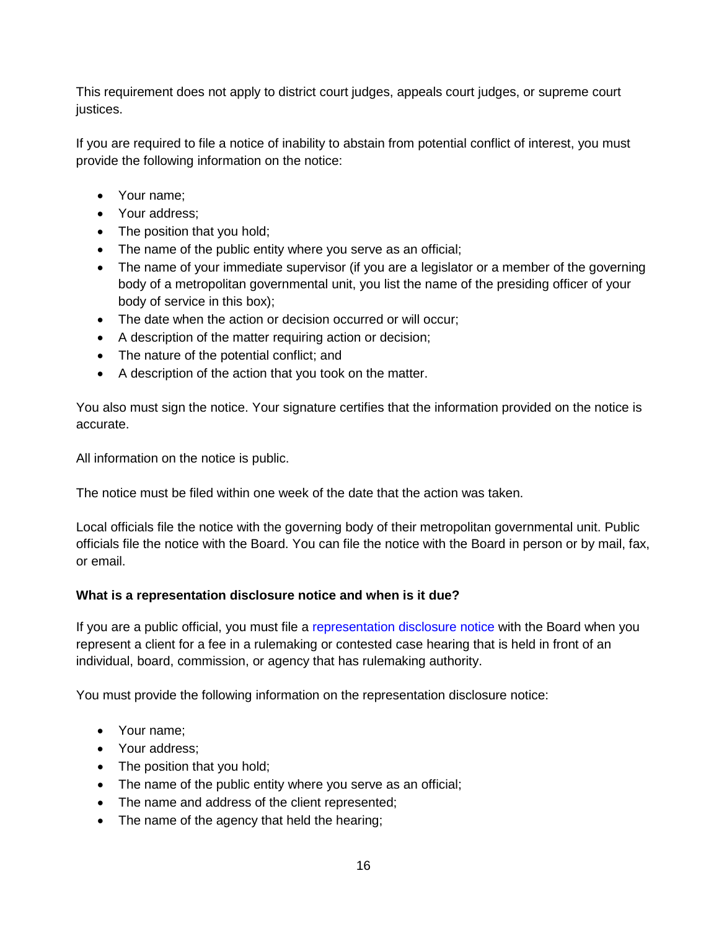This requirement does not apply to district court judges, appeals court judges, or supreme court justices.

If you are required to file a notice of inability to abstain from potential conflict of interest, you must provide the following information on the notice:

- Your name:
- Your address;
- The position that you hold;
- The name of the public entity where you serve as an official;
- The name of your immediate supervisor (if you are a legislator or a member of the governing body of a metropolitan governmental unit, you list the name of the presiding officer of your body of service in this box);
- The date when the action or decision occurred or will occur;
- A description of the matter requiring action or decision;
- The nature of the potential conflict; and
- A description of the action that you took on the matter.

You also must sign the notice. Your signature certifies that the information provided on the notice is accurate.

All information on the notice is public.

The notice must be filed within one week of the date that the action was taken.

Local officials file the notice with the governing body of their metropolitan governmental unit. Public officials file the notice with the Board. You can file the notice with the Board in person or by mail, fax, or email.

#### <span id="page-15-0"></span>**What is a representation disclosure notice and when is it due?**

If you are a public official, you must file a [representation disclosure notice](https://cfb.mn.gov/pdf/forms/public_officials/public_official_representation_disclosure_statement.pdf) with the Board when you represent a client for a fee in a rulemaking or contested case hearing that is held in front of an individual, board, commission, or agency that has rulemaking authority.

You must provide the following information on the representation disclosure notice:

- Your name;
- Your address;
- The position that you hold;
- The name of the public entity where you serve as an official;
- The name and address of the client represented;
- The name of the agency that held the hearing;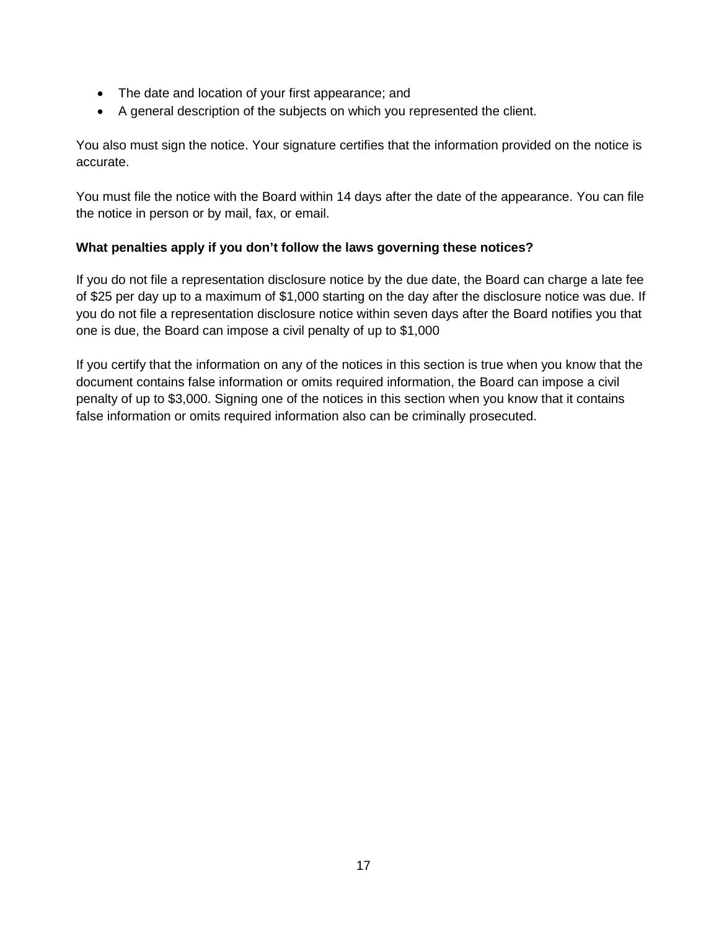- The date and location of your first appearance; and
- A general description of the subjects on which you represented the client.

You also must sign the notice. Your signature certifies that the information provided on the notice is accurate.

You must file the notice with the Board within 14 days after the date of the appearance. You can file the notice in person or by mail, fax, or email.

### <span id="page-16-0"></span>**What penalties apply if you don't follow the laws governing these notices?**

If you do not file a representation disclosure notice by the due date, the Board can charge a late fee of \$25 per day up to a maximum of \$1,000 starting on the day after the disclosure notice was due. If you do not file a representation disclosure notice within seven days after the Board notifies you that one is due, the Board can impose a civil penalty of up to \$1,000

If you certify that the information on any of the notices in this section is true when you know that the document contains false information or omits required information, the Board can impose a civil penalty of up to \$3,000. Signing one of the notices in this section when you know that it contains false information or omits required information also can be criminally prosecuted.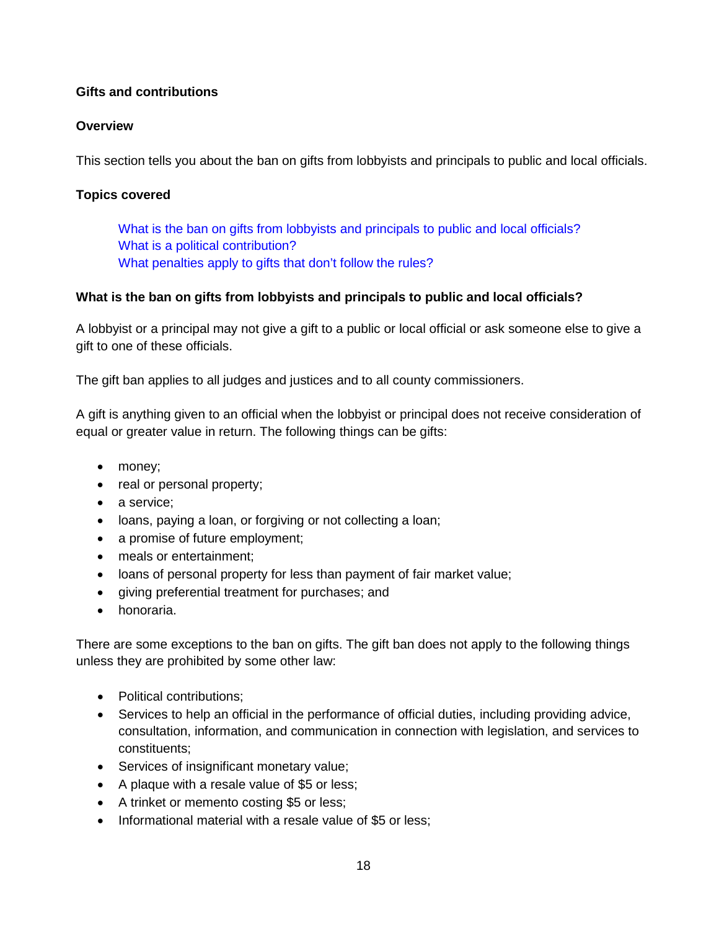# <span id="page-17-0"></span>**Gifts and contributions**

# **Overview**

This section tells you about the ban on gifts from lobbyists and principals to public and local officials.

# **Topics covered**

What is the ban [on gifts from lobbyists and principals to public and local officials?](#page-17-1) [What is a political contribution?](#page-18-0) [What penalties apply to gifts that don't follow the rules?](#page-18-1)

### <span id="page-17-1"></span>**What is the ban on gifts from lobbyists and principals to public and local officials?**

A lobbyist or a principal may not give a gift to a public or local official or ask someone else to give a gift to one of these officials.

The gift ban applies to all judges and justices and to all county commissioners.

A gift is anything given to an official when the lobbyist or principal does not receive consideration of equal or greater value in return. The following things can be gifts:

- money;
- real or personal property;
- a service;
- loans, paying a loan, or forgiving or not collecting a loan;
- a promise of future employment;
- meals or entertainment;
- loans of personal property for less than payment of fair market value;
- giving preferential treatment for purchases; and
- honoraria.

There are some exceptions to the ban on gifts. The gift ban does not apply to the following things unless they are prohibited by some other law:

- Political contributions;
- Services to help an official in the performance of official duties, including providing advice, consultation, information, and communication in connection with legislation, and services to constituents;
- Services of insignificant monetary value;
- A plaque with a resale value of \$5 or less;
- A trinket or memento costing \$5 or less;
- Informational material with a resale value of \$5 or less;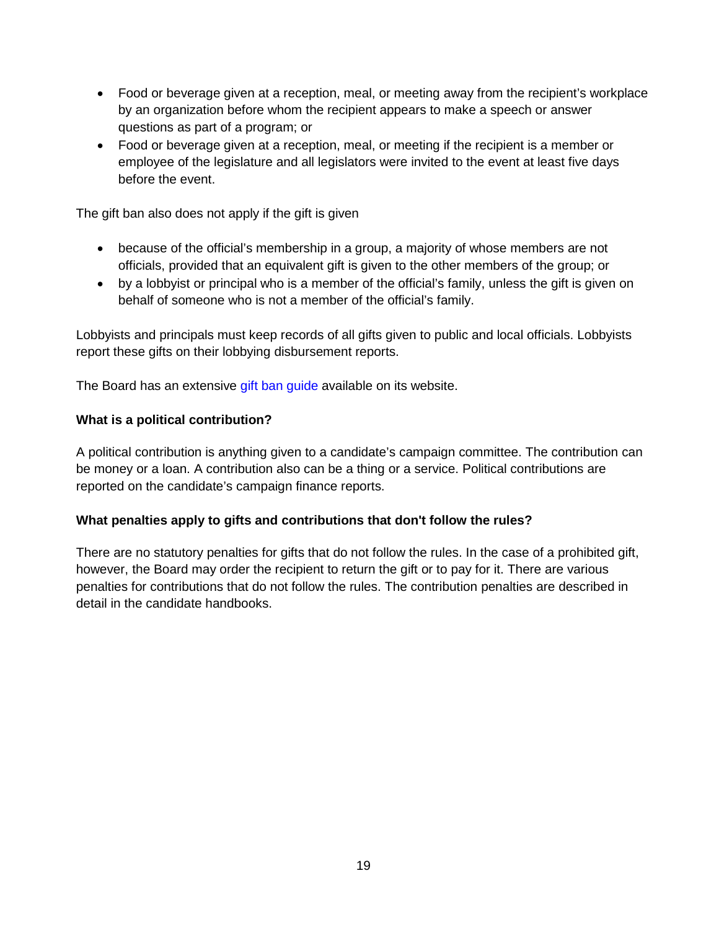- Food or beverage given at a reception, meal, or meeting away from the recipient's workplace by an organization before whom the recipient appears to make a speech or answer questions as part of a program; or
- Food or beverage given at a reception, meal, or meeting if the recipient is a member or employee of the legislature and all legislators were invited to the event at least five days before the event.

The gift ban also does not apply if the gift is given

- because of the official's membership in a group, a majority of whose members are not officials, provided that an equivalent gift is given to the other members of the group; or
- by a lobbyist or principal who is a member of the official's family, unless the gift is given on behalf of someone who is not a member of the official's family.

Lobbyists and principals must keep records of all gifts given to public and local officials. Lobbyists report these gifts on their lobbying disbursement reports.

The Board has an extensive [gift ban guide](https://cfb.mn.gov/pdf/quicklinks/gift_ban_primer.pdf) available on its website.

#### <span id="page-18-0"></span>**What is a political contribution?**

A political contribution is anything given to a candidate's campaign committee. The contribution can be money or a loan. A contribution also can be a thing or a service. Political contributions are reported on the candidate's campaign finance reports.

#### <span id="page-18-1"></span>**What penalties apply to gifts and contributions that don't follow the rules?**

There are no statutory penalties for gifts that do not follow the rules. In the case of a prohibited gift, however, the Board may order the recipient to return the gift or to pay for it. There are various penalties for contributions that do not follow the rules. The contribution penalties are described in detail in the candidate handbooks.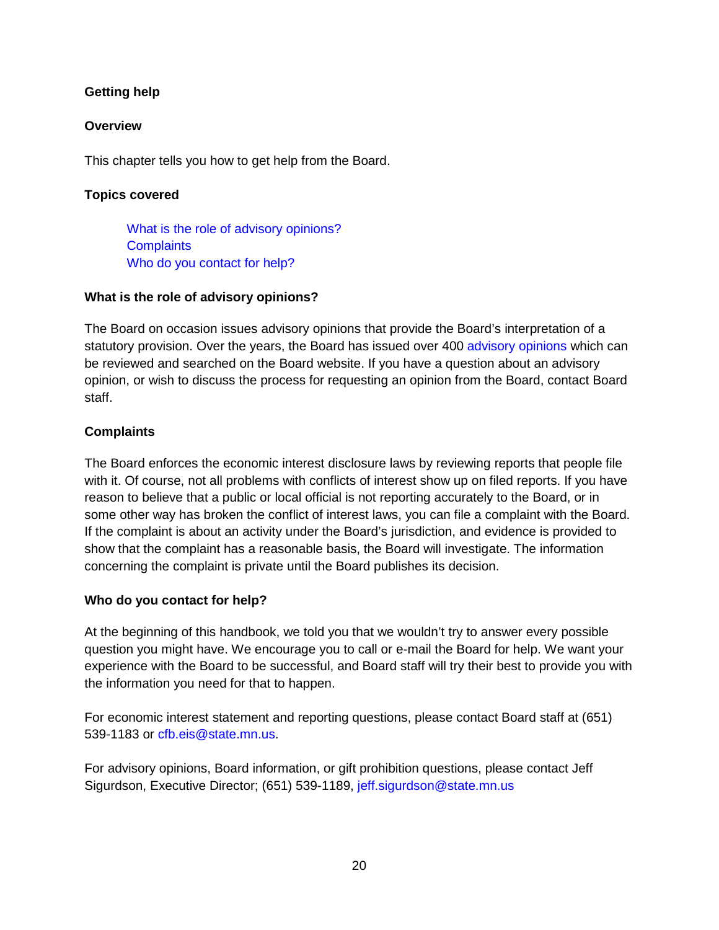# <span id="page-19-0"></span>**Getting help**

# **Overview**

This chapter tells you how to get help from the Board.

# **Topics covered**

[What is the role of advisory opinions?](#page-19-1) **[Complaints](#page-19-2)** [Who do you contact for help?](#page-19-3)

# <span id="page-19-1"></span>**What is the role of advisory opinions?**

The Board on occasion issues advisory opinions that provide the Board's interpretation of a statutory provision. Over the years, the Board has issued over 400 [advisory opinions](https://cfb.mn.gov/citizen-resources/the-board/board-decisions/advisory-opinions/) which can be reviewed and searched on the Board website. If you have a question about an advisory opinion, or wish to discuss the process for requesting an opinion from the Board, contact Board staff.

# <span id="page-19-2"></span>**Complaints**

The Board enforces the economic interest disclosure laws by reviewing reports that people file with it. Of course, not all problems with conflicts of interest show up on filed reports. If you have reason to believe that a public or local official is not reporting accurately to the Board, or in some other way has broken the conflict of interest laws, you can file a complaint with the Board. If the complaint is about an activity under the Board's jurisdiction, and evidence is provided to show that the complaint has a reasonable basis, the Board will investigate. The information concerning the complaint is private until the Board publishes its decision.

# <span id="page-19-3"></span>**Who do you contact for help?**

At the beginning of this handbook, we told you that we wouldn't try to answer every possible question you might have. We encourage you to call or e-mail the Board for help. We want your experience with the Board to be successful, and Board staff will try their best to provide you with the information you need for that to happen.

For economic interest statement and reporting questions, please contact Board staff at (651) 539-1183 or [cfb.eis@state.mn.us.](mailto:cfb.eis@state.mn.us)

For advisory opinions, Board information, or gift prohibition questions, please contact Jeff Sigurdson, Executive Director; (651) 539-1189, [jeff.sigurdson@state.mn.us](mailto:jeff.sigurdson@state.mn.us)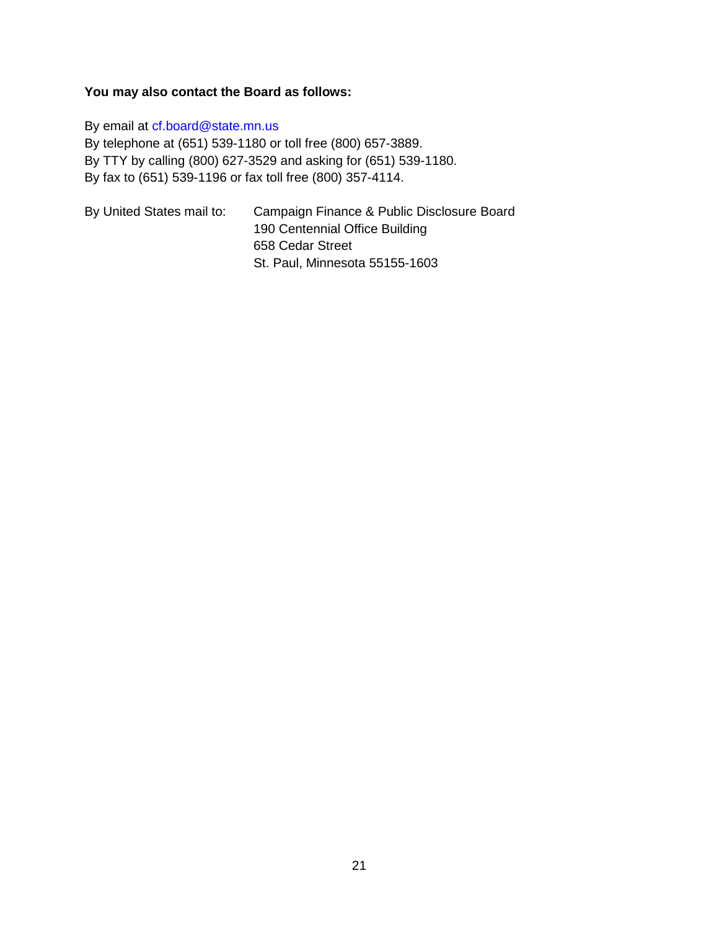# **You may also contact the Board as follows:**

By email at [cf.board@state.mn.us](mailto:cf.board@state.mn.us) By telephone at (651) 539-1180 or toll free (800) 657-3889. By TTY by calling (800) 627-3529 and asking for (651) 539-1180. By fax to (651) 539-1196 or fax toll free (800) 357-4114.

| By United States mail to: | Campaign Finance & Public Disclosure Board |
|---------------------------|--------------------------------------------|
|                           | 190 Centennial Office Building             |
|                           | 658 Cedar Street                           |
|                           | St. Paul, Minnesota 55155-1603             |